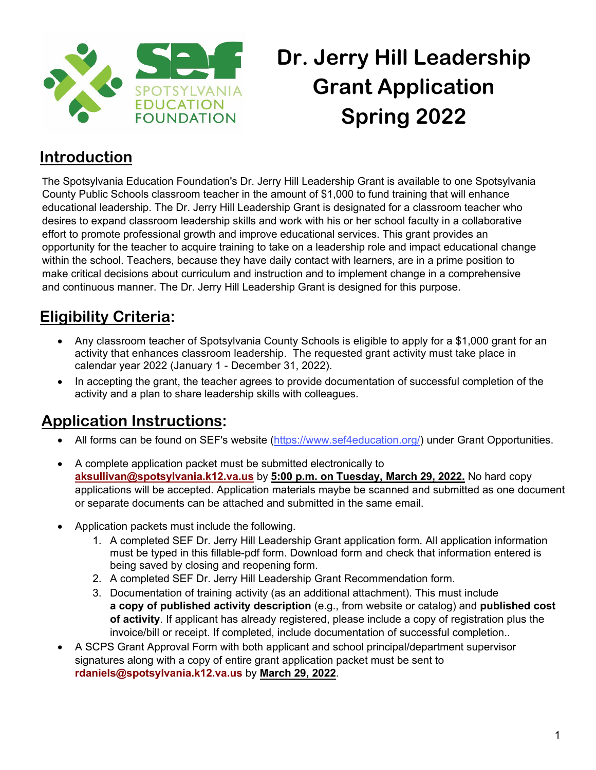

# **Dr. Jerry Hill Leadership Grant Application Spring 2022**

### **Introduction**

The Spotsylvania Education Foundation's Dr. Jerry Hill Leadership Grant is available to one Spotsylvania County Public Schools classroom teacher in the amount of \$1,000 to fund training that will enhance educational leadership. The Dr. Jerry Hill Leadership Grant is designated for a classroom teacher who desires to expand classroom leadership skills and work with his or her school faculty in a collaborative effort to promote professional growth and improve educational services. This grant provides an opportunity for the teacher to acquire training to take on a leadership role and impact educational change within the school. Teachers, because they have daily contact with learners, are in a prime position to make critical decisions about curriculum and instruction and to implement change in a comprehensive and continuous manner. The Dr. Jerry Hill Leadership Grant is designed for this purpose.

### **Eligibility Criteria:**

- Any classroom teacher of Spotsylvania County Schools is eligible to apply for a \$1,000 grant for an activity that enhances classroom leadership. The requested grant activity must take place in calendar year 2022 (January 1 - December 31, 2022).
- In accepting the grant, the teacher agrees to provide documentation of successful completion of the activity and a plan to share leadership skills with colleagues.

#### **Application Instructions:**

- All forms can be found on SEF's website [\(https://www.sef4education.org/\)](https://www.sef4education.org/) under Grant Opportunities.
- A complete application packet must be submitted electronically to **aksullivan@spotsylvania.k12.va.us** by **5:00 p.m. on Tuesday, March 29, 2022.** No hard copy applications will be accepted. Application materials maybe be scanned and submitted as one document or separate documents can be attached and submitted in the same email.
- Application packets must include the following.
	- 1. A completed SEF Dr. Jerry Hill Leadership Grant application form. All application information must be typed in this fillable-pdf form. Download form and check that information entered is being saved by closing and reopening form.
	- 2. A completed SEF Dr. Jerry Hill Leadership Grant Recommendation form.
	- 3. Documentation of training activity (as an additional attachment). This must include **a copy of published activity description** (e.g., from website or catalog) and **published cost of activity**. If applicant has already registered, please include a copy of registration plus the invoice/bill or receipt. If completed, include documentation of successful completion..
- A SCPS Grant Approval Form with both applicant and school principal/department supervisor signatures along with a copy of entire grant application packet must be sent to **rdaniels@spotsylvania.k12.va.us** by **March 29, 2022**.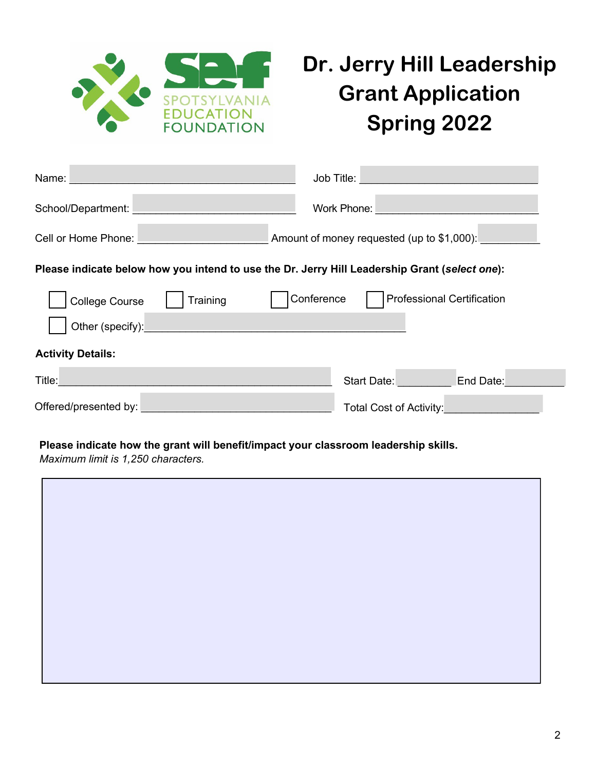

## **Dr. Jerry Hill Leadership Grant Application Spring 2022**

| Name:                                                                                                                         | Job Title:<br><u> 1990 - Johann Barnett, mars et al. 1990 - Anna ann an t-Anna ann an t-Anna ann an t-Anna ann an t-Anna ann an</u> |
|-------------------------------------------------------------------------------------------------------------------------------|-------------------------------------------------------------------------------------------------------------------------------------|
| School/Department:                                                                                                            | Work Phone:                                                                                                                         |
| Cell or Home Phone: <u>Call Alexander Andrew Cell or Home Phone:</u>                                                          | Amount of money requested (up to \$1,000):                                                                                          |
| Please indicate below how you intend to use the Dr. Jerry Hill Leadership Grant (select one):                                 |                                                                                                                                     |
| Training<br><b>College Course</b>                                                                                             | Conference<br><b>Professional Certification</b>                                                                                     |
| Other (specify):                                                                                                              |                                                                                                                                     |
| <b>Activity Details:</b>                                                                                                      |                                                                                                                                     |
| Title:<br>e de la construcción de la construcción de la construcción de la construcción de la construcción de la construcción | End Date:<br>Start Date: <b>Start Date:</b>                                                                                         |
| Offered/presented by:                                                                                                         | <b>Total Cost of Activity:</b>                                                                                                      |

#### **Please indicate how the grant will benefit/impact your classroom leadership skills.**

*Maximum limit is 1,250 characters.*